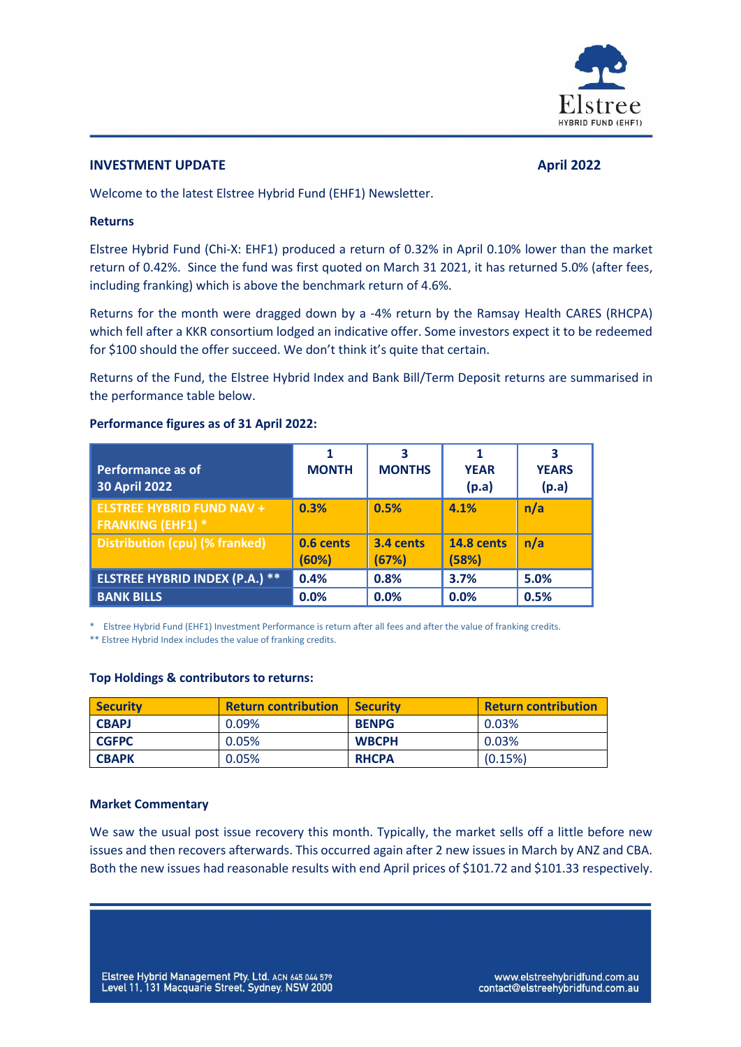

# **INVESTMENT UPDATE April 2022**

Welcome to the latest Elstree Hybrid Fund (EHF1) Newsletter.

## **Returns**

Elstree Hybrid Fund (Chi-X: EHF1) produced a return of 0.32% in April 0.10% lower than the market return of 0.42%. Since the fund was first quoted on March 31 2021, it has returned 5.0% (after fees, including franking) which is above the benchmark return of 4.6%.

Returns for the month were dragged down by a -4% return by the Ramsay Health CARES (RHCPA) which fell after a KKR consortium lodged an indicative offer. Some investors expect it to be redeemed for \$100 should the offer succeed. We don't think it's quite that certain.

Returns of the Fund, the Elstree Hybrid Index and Bank Bill/Term Deposit returns are summarised in the performance table below.

| <b>Performance as of</b><br><b>30 April 2022</b>             | <b>MONTH</b>       | 3<br><b>MONTHS</b> | <b>YEAR</b><br>(p.a)       | <b>YEARS</b><br>(p.a) |
|--------------------------------------------------------------|--------------------|--------------------|----------------------------|-----------------------|
| <b>ELSTREE HYBRID FUND NAV +</b><br><b>FRANKING (EHF1) *</b> | 0.3%               | 0.5%               | 4.1%                       | n/a                   |
| Distribution (cpu) (% franked)                               | 0.6 cents<br>(60%) | 3.4 cents<br>(67%) | <b>14.8 cents</b><br>(58%) | n/a                   |
| <b>ELSTREE HYBRID INDEX (P.A.) **</b>                        | 0.4%               | 0.8%               | 3.7%                       | 5.0%                  |
| <b>BANK BILLS</b>                                            | 0.0%               | 0.0%               | 0.0%                       | 0.5%                  |

### **Performance figures as of 31 April 2022:**

\* Elstree Hybrid Fund (EHF1) Investment Performance is return after all fees and after the value of franking credits.

\*\* Elstree Hybrid Index includes the value of franking credits.

#### **Top Holdings & contributors to returns:**

| <b>Security</b> | <b>Return contribution</b> | <b>Security</b> | <b>Return contribution</b> |
|-----------------|----------------------------|-----------------|----------------------------|
| <b>CBAPJ</b>    | 0.09%                      | <b>BENPG</b>    | 0.03%                      |
| <b>CGFPC</b>    | 0.05%                      | <b>WBCPH</b>    | $0.03\%$                   |
| <b>CBAPK</b>    | 0.05%                      | <b>RHCPA</b>    | (0.15%)                    |

#### **Market Commentary**

We saw the usual post issue recovery this month. Typically, the market sells off a little before new issues and then recovers afterwards. This occurred again after 2 new issues in March by ANZ and CBA. Both the new issues had reasonable results with end April prices of \$101.72 and \$101.33 respectively.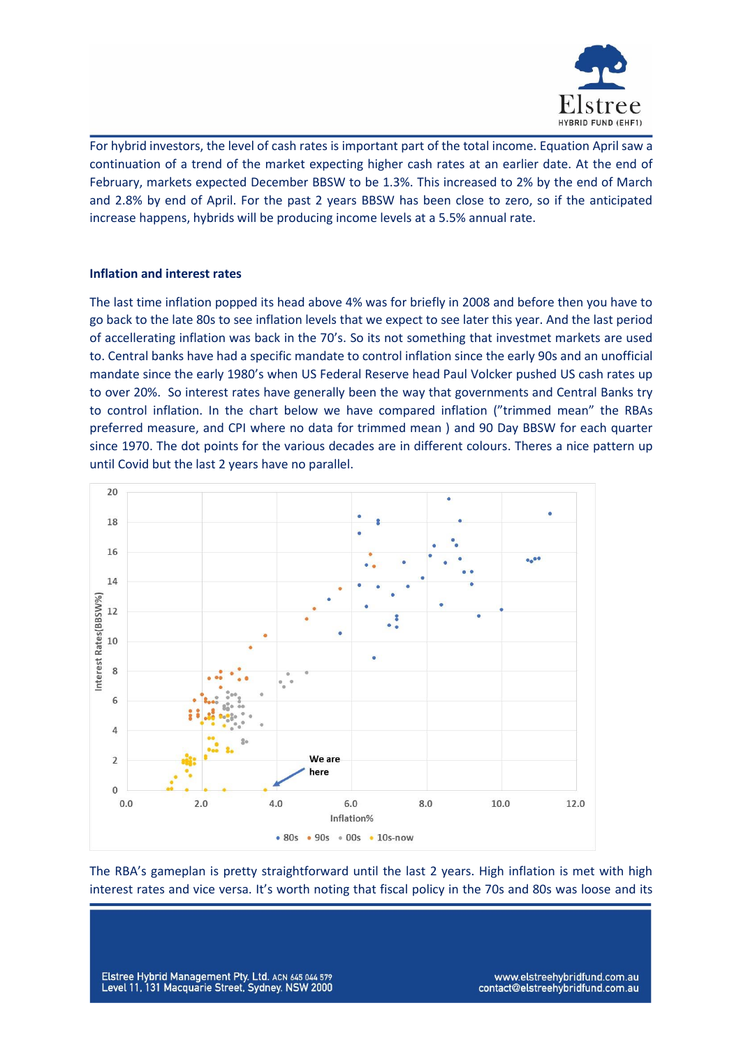

For hybrid investors, the level of cash rates is important part of the total income. Equation April saw a continuation of a trend of the market expecting higher cash rates at an earlier date. At the end of February, markets expected December BBSW to be 1.3%. This increased to 2% by the end of March and 2.8% by end of April. For the past 2 years BBSW has been close to zero, so if the anticipated increase happens, hybrids will be producing income levels at a 5.5% annual rate.

# **Inflation and interest rates**

The last time inflation popped its head above 4% was for briefly in 2008 and before then you have to go back to the late 80s to see inflation levels that we expect to see later this year. And the last period of accellerating inflation was back in the 70's. So its not something that investmet markets are used to. Central banks have had a specific mandate to control inflation since the early 90s and an unofficial mandate since the early 1980's when US Federal Reserve head Paul Volcker pushed US cash rates up to over 20%. So interest rates have generally been the way that governments and Central Banks try to control inflation. In the chart below we have compared inflation ("trimmed mean" the RBAs preferred measure, and CPI where no data for trimmed mean ) and 90 Day BBSW for each quarter since 1970. The dot points for the various decades are in different colours. Theres a nice pattern up until Covid but the last 2 years have no parallel.



The RBA's gameplan is pretty straightforward until the last 2 years. High inflation is met with high interest rates and vice versa. It's worth noting that fiscal policy in the 70s and 80s was loose and its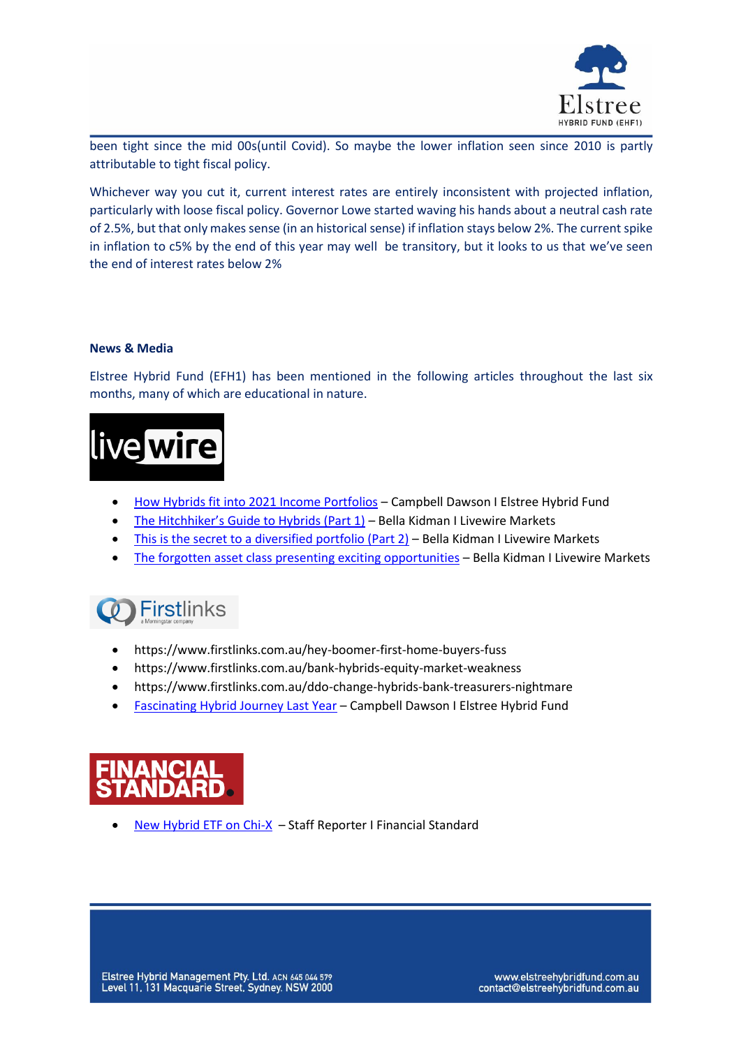

been tight since the mid 00s(until Covid). So maybe the lower inflation seen since 2010 is partly attributable to tight fiscal policy.

Whichever way you cut it, current interest rates are entirely inconsistent with projected inflation, particularly with loose fiscal policy. Governor Lowe started waving his hands about a neutral cash rate of 2.5%, but that only makes sense (in an historical sense) if inflation stays below 2%. The current spike in inflation to c5% by the end of this year may well be transitory, but it looks to us that we've seen the end of interest rates below 2%

# **News & Media**

Elstree Hybrid Fund (EFH1) has been mentioned in the following articles throughout the last six months, many of which are educational in nature.



- [How Hybrids fit into 2021 Income Portfolios](https://www.livewiremarkets.com/wires/how-hybrids-fit-into-2021-income-portfolios) Campbell Dawson I Elstree Hybrid Fund
- [The Hitchhiker's Guide to Hybrids \(Part 1\)](https://www.livewiremarkets.com/wires/the-hitchhiker-s-guide-to-hybrids) Bella Kidman I Livewire Markets
- [This is the secret to a diversified portfolio \(Part 2\)](https://www.livewiremarkets.com/wires/this-is-the-secret-to-a-diversified-portfolio) Bella Kidman I Livewire Markets
- [The forgotten asset class presenting exciting opportunities](https://www.livewiremarkets.com/wires/the-forgotten-asset-class-presenting-exciting-opportunities) Bella Kidman I Livewire Markets



- https://www.firstlinks.com.au/hey-boomer-first-home-buyers-fuss
- https://www.firstlinks.com.au/bank-hybrids-equity-market-weakness
- https://www.firstlinks.com.au/ddo-change-hybrids-bank-treasurers-nightmare
- [Fascinating Hybrid Journey Last Year](https://www.firstlinks.com.au/fascinating-hybrid-journey-last-year) Campbell Dawson I Elstree Hybrid Fund



• [New Hybrid ETF on Chi-X](https://www.financialstandard.com.au/news/new-hybrids-etf-on-chi-x-178983920) – Staff Reporter I Financial Standard